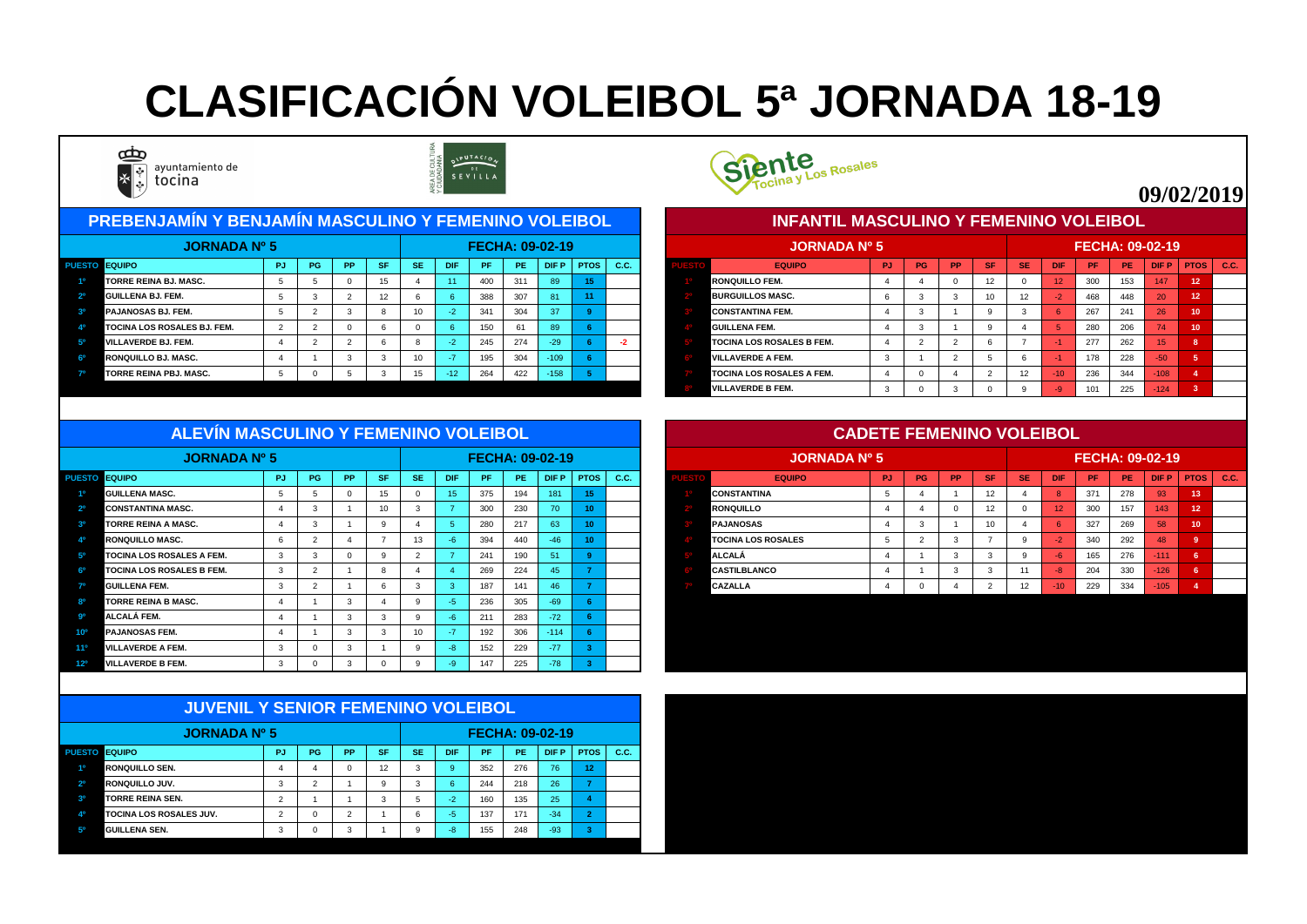| <u> PREBENJAMÍN Y BENJAMÍN MASCULINO Y FEMENINO VOLEIBOL,</u> |           |           |           |           |            |     |     |                        |             |      |  | <b>INFANTIL MASCULINO Y FEMENINO VOLEIBOL</b> |     |    |           |            |                  |            |           |                        |                 |             |      |
|---------------------------------------------------------------|-----------|-----------|-----------|-----------|------------|-----|-----|------------------------|-------------|------|--|-----------------------------------------------|-----|----|-----------|------------|------------------|------------|-----------|------------------------|-----------------|-------------|------|
| <b>JORNADA Nº 5</b>                                           |           |           |           |           |            |     |     | <b>FECHA: 09-02-19</b> |             |      |  | <b>JORNADA Nº 5</b>                           |     |    |           |            |                  |            |           | <b>FECHA: 09-02-19</b> |                 |             |      |
| <b>PUESTO EQUIPO</b>                                          | <b>PG</b> | <b>PP</b> | <b>SF</b> | <b>SE</b> | <b>DIF</b> | PF. | PE. | DIF P                  | <b>PTOS</b> | C.C. |  | <b>EQUIPO</b>                                 | PJ. | PG | <b>PP</b> | <b>SF/</b> | <b>SE</b>        | <b>DIF</b> | <b>PF</b> | PE.                    | <b>DIFP</b>     | <b>PTOS</b> | C.C. |
| <b>TORRE REINA BJ. MASC.</b>                                  |           |           |           |           | $-44$      | 400 | 311 | 89                     |             |      |  | <b>RONQUILLO FEM.</b>                         |     |    |           |            |                  | <b>12.</b> | 300       | 153                    | 147             | 12          |      |
| <b>GUILLENA BJ. FEM.</b>                                      |           |           | 12        |           |            | 388 | 307 | 81                     | 11          |      |  | <b>BURGUILLOS MASC.</b>                       |     |    |           |            | 12 <sup>°</sup>  | $-2$       | 468       | 448                    | 20 <sub>1</sub> | 12          |      |
| <b>PAJANOSAS BJ. FEM.</b>                                     |           |           |           | 10        |            | 341 | 304 | 37                     |             |      |  | <b>CONSTANTINA FEM.</b>                       |     |    |           |            |                  |            | 267       | 241                    | 26              |             |      |
| <b>TOCINA LOS ROSALES BJ. FEM.</b>                            |           |           |           |           |            | 150 |     | 89                     |             |      |  | <b>GUILLENA FEM.</b>                          |     |    |           |            |                  |            | 280       | 206                    | 74              | 10          |      |
| <b>VILLAVERDE BJ. FEM.</b>                                    |           |           |           |           |            | 245 | 274 | $-29$                  |             |      |  | <b>TOCINA LOS ROSALES B FEM.</b>              |     |    |           |            |                  |            | 277       | 262                    | 15.             |             |      |
| <b>RONQUILLO BJ. MASC.</b>                                    |           |           |           | 10        |            | 195 | 304 | $-109$                 |             |      |  | <b>VILLAVERDE A FEM.</b>                      |     |    |           |            |                  |            | 178       | 228                    | $-50$           |             |      |
| <b>TORRE REINA PBJ. MASC.</b>                                 |           |           |           | 15        | $-127$     | 264 | 422 | $-158$                 |             |      |  | <b>TOCINA LOS ROSALES A FEM.</b>              |     |    |           |            | 12 <sup>12</sup> | -107       | 236       | 344                    | 108             |             |      |



|      | <b>JORNADA Nº 5</b>              |           |           |           |           |           |            |     |           | <b>FECHA: 09-02-19</b> |                   |             |
|------|----------------------------------|-----------|-----------|-----------|-----------|-----------|------------|-----|-----------|------------------------|-------------------|-------------|
| ESTO | <b>EQUIPO</b>                    | <b>PJ</b> | <b>PG</b> | <b>PP</b> | <b>SF</b> | <b>SE</b> | <b>DIF</b> | PF  | <b>PE</b> | <b>DIFP</b>            | <b>PTOS</b>       | <b>C.C.</b> |
|      | <b>RONQUILLO FEM.</b>            | 4         | 4         | 0         | 12        | 0         | 12         | 300 | 153       | 147                    | 12 <sub>2</sub>   |             |
|      | <b>BURGUILLOS MASC.</b>          | 6         | 3         | 3         | 10        | 12        | $-2$       | 468 | 448       | 20                     | $12 \overline{ }$ |             |
|      | <b>CONSTANTINA FEM.</b>          | 4         | 3         |           | 9         | 3         | 6          | 267 | 241       | 26                     | 10                |             |
|      | IGUILLENA FEM.                   | 4         | 3         |           | 9         | 4         | 5          | 280 | 206       | 74                     | 10                |             |
|      | <b>TOCINA LOS ROSALES B FEM.</b> | 4         | 2         | 2         | 6         | 7         | $-1$       | 277 | 262       | 15                     | 8                 |             |
|      | <b>VILLAVERDE A FEM.</b>         | 3         |           | 2         | 5         | 6         | $-1$       | 178 | 228       | $-50$                  | $5\phantom{1}$    |             |
|      | <b>TOCINA LOS ROSALES A FEM.</b> | 4         |           | 4         | 2         | 12        | $-10$      | 236 | 344       | $-108$                 | 4                 |             |
|      | <b>IVILLAVERDE B FEM.</b>        | 3         | 0         | 3         | $\Omega$  | 9         | $-9$       | 101 | 225       | $-124$                 | 3                 |             |

| <b>JORNADA Nº 5</b>              |        |    |           |           |           |            |           |           | <b>FECHA: 09-02-19</b> |             |      | <b>JORNADA Nº 5</b>       |     |           |           |             |           |            |           |           | <b>FECHA: 09-02-19</b> |    |               |
|----------------------------------|--------|----|-----------|-----------|-----------|------------|-----------|-----------|------------------------|-------------|------|---------------------------|-----|-----------|-----------|-------------|-----------|------------|-----------|-----------|------------------------|----|---------------|
| PUESTO EQUIPO                    | - PJ I | PG | <b>PP</b> | <b>SF</b> | <b>SE</b> | <b>DIF</b> | <b>PF</b> | <b>PE</b> | DIF P                  | <b>PTOS</b> | C.C. | <b>EQUIPO</b>             | PJ. | <b>PG</b> | <b>PP</b> | <b>ASET</b> | <b>SE</b> | <b>DIF</b> | <b>PF</b> | <b>PE</b> | <b>DIFP</b>            |    | $PTOS$ $C.C.$ |
| <b>GUILLENA MASC.</b>            |        |    |           |           |           | 15.        | 375       | 194       |                        |             |      | <b>CONSTANTINA</b>        |     |           |           |             |           |            | 371       | 278       | 93                     |    |               |
| <b>CONSTANTINA MASC.</b>         |        |    |           |           |           |            | 300       | 230       | 70 <sup>1</sup>        |             |      | <b>RONQUILLO</b>          |     |           |           |             |           |            | 300       | 157       | 143                    | 12 |               |
| <b>TORRE REINA A MASC.</b>       |        |    |           |           |           |            | 280       | 217       | 63                     | $\sqrt{2}$  |      | <b>PAJANOSAS</b>          |     |           |           |             |           |            | 327       | 269       | 58                     | 10 |               |
| <b>RONQUILLO MASC.</b>           |        |    |           |           | 13        |            | 394       | 440       | $-46/$                 |             |      | <b>TOCINA LOS ROSALES</b> |     |           |           |             |           |            | 340       | 292       | 48                     |    |               |
| <b>TOCINA LOS ROSALES A FEM.</b> |        |    |           |           |           |            | 241       | 190       |                        |             |      | <b>ALCALÁ</b>             |     |           |           |             |           |            | 165       | 276       | -111                   |    |               |
| <b>TOCINA LOS ROSALES B FEM.</b> |        |    |           |           |           |            | 269       | 224       |                        |             |      | <b>CASTILBLANCO</b>       |     |           |           |             |           |            | 204       | 330       | $-126$                 |    |               |
| <b>GUILLENA FEM.</b>             |        |    |           |           |           |            | 187       | 141       |                        |             |      | <b>CAZALLA</b>            |     |           |           |             |           | -10-       | 229       | 334       | $-105$                 |    |               |
| <b>TORRE REINA B MASC.</b>       |        |    |           |           |           |            | 236       | 305       | -69                    |             |      |                           |     |           |           |             |           |            |           |           |                        |    |               |

| <b>JORNADA Nº 5</b>                                |              |    |                 |                 |           |            | <b>FECHA: 09-02-19</b> |     |        |             |      |
|----------------------------------------------------|--------------|----|-----------------|-----------------|-----------|------------|------------------------|-----|--------|-------------|------|
| <b>EQUIPO</b><br><b>PUESTO</b>                     | <b>PJ</b>    | PG | PP <sub>1</sub> | <b>SF</b>       | <b>SE</b> | <b>DIF</b> | PF.                    | PE. | DIF P  | <b>PTOS</b> | C.C. |
| <b>GUILLENA MASC.</b><br>10                        | ರಿ           |    |                 | 15 <sub>1</sub> |           | 15         | 375                    | 194 | 181    | 15          |      |
| 2 <sup>o</sup><br><b>CONSTANTINA MASC.</b>         |              |    |                 | 10 <sup>1</sup> | - 3       |            | 300                    | 230 | 70     | 10          |      |
| 3 <sup>o</sup><br><b>TORRE REINA A MASC.</b>       |              |    |                 |                 |           |            | 280                    | 217 | 63     |             |      |
| 40<br>RONQUILLO MASC.                              | O            |    |                 |                 | 13        | -b.        | 394                    | 440 | $-46$  |             |      |
| 5 <sup>0</sup><br><b>TOCINA LOS ROSALES A FEM.</b> | 3            |    |                 |                 |           |            | 241                    | 190 | 51     |             |      |
| 60<br><b>TOCINA LOS ROSALES B FEM.</b>             | $\mathbf{3}$ |    |                 |                 |           |            | 269                    | 224 | 45     |             |      |
| 70<br><b>GUILLENA FEM.</b>                         | -3           |    |                 |                 |           |            | 187                    | 141 | 46     |             |      |
| R <sub>0</sub><br><b>TORRE REINA B MASC.</b>       |              |    |                 |                 |           | -5.        | 236                    | 305 | $-69$  |             |      |
| <b>go</b><br><b>ALCALÁ FEM.</b>                    |              |    |                 |                 |           | -h         | 211                    | 283 | $-72$  |             |      |
| <b>PAJANOSAS FEM.</b><br>10°                       |              |    |                 |                 | 10        | $\sim$ 1   | 192                    | 306 | $-114$ |             |      |
| <b>VILLAVERDE A FEM.</b><br>11º                    | -3           |    |                 |                 |           | -8         | 152                    | 229 | $-77$  |             |      |
| 12 <sup>o</sup><br><b>VILLAVERDE B FEM.</b>        |              |    |                 |                 |           |            | 147                    | 225 | $-78$  |             |      |

|                | <b>JUVENIL Y SENIOR FEMENINO VOLEIBOL</b> |                |           |           |           |           |            |           |           |                        |              |      |
|----------------|-------------------------------------------|----------------|-----------|-----------|-----------|-----------|------------|-----------|-----------|------------------------|--------------|------|
|                | <b>JORNADA Nº 5</b>                       |                |           |           |           |           |            |           |           | <b>FECHA: 09-02-19</b> |              |      |
| <b>PUESTO</b>  | <b>I</b> EQUIPO                           | PJ             | <b>PG</b> | <b>PP</b> | <b>SF</b> | <b>SE</b> | <b>DIF</b> | <b>PF</b> | <b>PE</b> | <b>DIFP</b>            | <b>PTOS</b>  | C.C. |
| 10             | <b>RONQUILLO SEN.</b>                     | 4              | 4         | $\Omega$  | 12        | 3         | 9          | 352       | 276       | 76                     | 12           |      |
| 2 <sup>o</sup> | <b>RONQUILLO JUV.</b>                     | 3              | 2         |           | 9         | 3         | 6          | 244       | 218       | 26                     | 7            |      |
| 3 <sup>o</sup> | <b>TORRE REINA SEN.</b>                   | $\overline{2}$ |           |           | 3         | 5         | $-2$       | 160       | 135       | 25                     | 4            |      |
| 40             | <b>TOCINA LOS ROSALES JUV.</b>            | $\overline{2}$ | $\Omega$  | 2         |           | 6         | $-5$       | 137       | 171       | $-34$                  | $\mathbf{2}$ |      |
| 50             | <b>GUILLENA SEN.</b>                      | 3              | $\Omega$  | 3         | и         | 9         | $-8$       | 155       | 248       | $-93$                  | 3            |      |



#### **ALEVÍN MASCULINO Y FEMENINO VOLEIBOL**

# **CLASIFICACIÓN VOLEIBOL 5ª JORNADA 18-19**



ayuntamiento de tocina



### **09/02/2019**

#### **CADETE FEMENINO VOLEIBOL**

#### **INFANTIL MASCULINO Y FEMENINO VOLEIBOL**